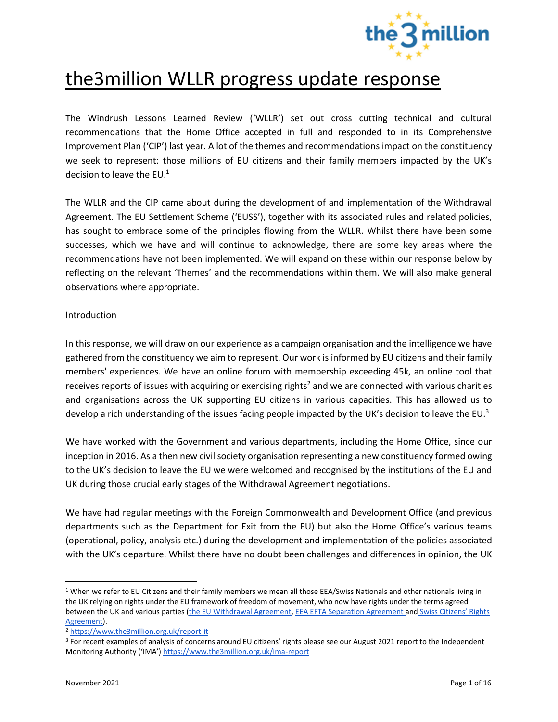

# the3million WLLR progress update response

The Windrush Lessons Learned Review ('WLLR') set out cross cutting technical and cultural recommendations that the Home Office accepted in full and responded to in its Comprehensive Improvement Plan ('CIP') last year. A lot of the themes and recommendations impact on the constituency we seek to represent: those millions of EU citizens and their family members impacted by the UK's decision to leave the  $EU<sup>1</sup>$ 

The WLLR and the CIP came about during the development of and implementation of the Withdrawal Agreement. The EU Settlement Scheme ('EUSS'), together with its associated rules and related policies, has sought to embrace some of the principles flowing from the WLLR. Whilst there have been some successes, which we have and will continue to acknowledge, there are some key areas where the recommendations have not been implemented. We will expand on these within our response below by reflecting on the relevant 'Themes' and the recommendations within them. We will also make general observations where appropriate.

#### Introduction

In this response, we will draw on our experience as a campaign organisation and the intelligence we have gathered from the constituency we aim to represent. Our work is informed by EU citizens and their family members' experiences. We have an online forum with membership exceeding 45k, an online tool that receives reports of issues with acquiring or exercising rights<sup>2</sup> and we are connected with various charities and organisations across the UK supporting EU citizens in various capacities. This has allowed us to develop a rich understanding of the issues facing people impacted by the UK's decision to leave the EU.<sup>3</sup>

We have worked with the Government and various departments, including the Home Office, since our inception in 2016. As a then new civil society organisation representing a new constituency formed owing to the UK's decision to leave the EU we were welcomed and recognised by the institutions of the EU and UK during those crucial early stages of the Withdrawal Agreement negotiations.

We have had regular meetings with the Foreign Commonwealth and Development Office (and previous departments such as the Department for Exit from the EU) but also the Home Office's various teams (operational, policy, analysis etc.) during the development and implementation of the policies associated with the UK's departure. Whilst there have no doubt been challenges and differences in opinion, the UK

<sup>&</sup>lt;sup>1</sup> When we refer to EU Citizens and their family members we mean all those EEA/Swiss Nationals and other nationals living in the UK relying on rights under the EU framework of freedom of movement, who now have rights under the terms agreed between the UK and various parties [\(the EU Withdrawal Agreement,](https://ec.europa.eu/commission/presscorner/detail/en/STATEMENT_21_822) [EEA EFTA Separation Agreement a](https://www.gov.uk/government/news/eea-efta-separation-agreement)nd Swiss Citizens' Rights [Agreement\)](https://www.gov.uk/government/news/swiss-citizens-rights-agreement).

<sup>2</sup> <https://www.the3million.org.uk/report-it>

<sup>3</sup> For recent examples of analysis of concerns around EU citizens' rights please see our August 2021 report to the Independent Monitoring Authority ('IMA') <https://www.the3million.org.uk/ima-report>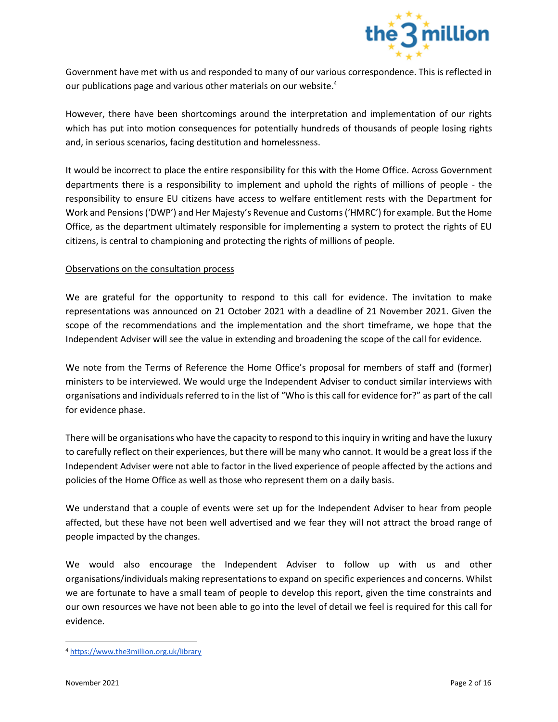

Government have met with us and responded to many of our various correspondence. This is reflected in our publications page and various other materials on our website.<sup>4</sup>

However, there have been shortcomings around the interpretation and implementation of our rights which has put into motion consequences for potentially hundreds of thousands of people losing rights and, in serious scenarios, facing destitution and homelessness.

It would be incorrect to place the entire responsibility for this with the Home Office. Across Government departments there is a responsibility to implement and uphold the rights of millions of people - the responsibility to ensure EU citizens have access to welfare entitlement rests with the Department for Work and Pensions ('DWP') and Her Majesty's Revenue and Customs ('HMRC') for example. But the Home Office, as the department ultimately responsible for implementing a system to protect the rights of EU citizens, is central to championing and protecting the rights of millions of people.

# Observations on the consultation process

We are grateful for the opportunity to respond to this call for evidence. The invitation to make representations was announced on 21 October 2021 with a deadline of 21 November 2021. Given the scope of the recommendations and the implementation and the short timeframe, we hope that the Independent Adviser will see the value in extending and broadening the scope of the call for evidence.

We note from the Terms of Reference the Home Office's proposal for members of staff and (former) ministers to be interviewed. We would urge the Independent Adviser to conduct similar interviews with organisations and individuals referred to in the list of "Who is this call for evidence for?" as part of the call for evidence phase.

There will be organisations who have the capacity to respond to this inquiry in writing and have the luxury to carefully reflect on their experiences, but there will be many who cannot. It would be a great loss if the Independent Adviser were not able to factor in the lived experience of people affected by the actions and policies of the Home Office as well as those who represent them on a daily basis.

We understand that a couple of events were set up for the Independent Adviser to hear from people affected, but these have not been well advertised and we fear they will not attract the broad range of people impacted by the changes.

We would also encourage the Independent Adviser to follow up with us and other organisations/individuals making representations to expand on specific experiences and concerns. Whilst we are fortunate to have a small team of people to develop this report, given the time constraints and our own resources we have not been able to go into the level of detail we feel is required for this call for evidence.

<sup>4</sup> <https://www.the3million.org.uk/library>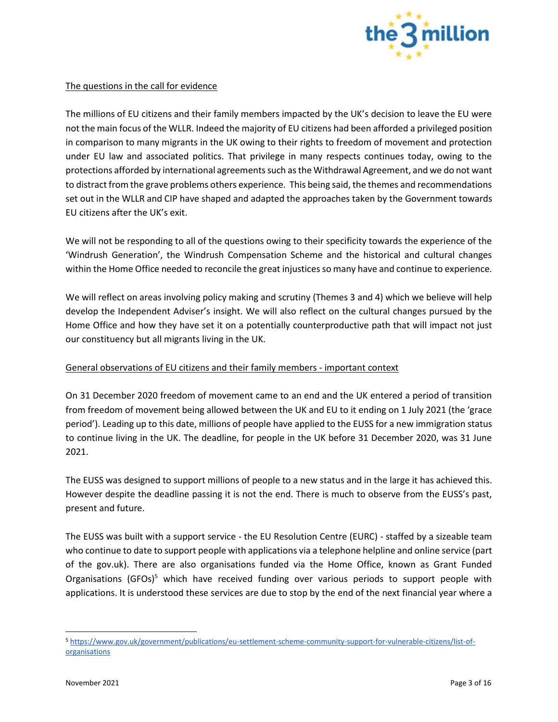

#### The questions in the call for evidence

The millions of EU citizens and their family members impacted by the UK's decision to leave the EU were not the main focus of the WLLR. Indeed the majority of EU citizens had been afforded a privileged position in comparison to many migrants in the UK owing to their rights to freedom of movement and protection under EU law and associated politics. That privilege in many respects continues today, owing to the protections afforded by international agreements such as the Withdrawal Agreement, and we do not want to distract from the grave problems others experience. This being said, the themes and recommendations set out in the WLLR and CIP have shaped and adapted the approaches taken by the Government towards EU citizens after the UK's exit.

We will not be responding to all of the questions owing to their specificity towards the experience of the 'Windrush Generation', the Windrush Compensation Scheme and the historical and cultural changes within the Home Office needed to reconcile the great injustices so many have and continue to experience.

We will reflect on areas involving policy making and scrutiny (Themes 3 and 4) which we believe will help develop the Independent Adviser's insight. We will also reflect on the cultural changes pursued by the Home Office and how they have set it on a potentially counterproductive path that will impact not just our constituency but all migrants living in the UK.

# General observations of EU citizens and their family members - important context

On 31 December 2020 freedom of movement came to an end and the UK entered a period of transition from freedom of movement being allowed between the UK and EU to it ending on 1 July 2021 (the 'grace period'). Leading up to this date, millions of people have applied to the EUSS for a new immigration status to continue living in the UK. The deadline, for people in the UK before 31 December 2020, was 31 June 2021.

The EUSS was designed to support millions of people to a new status and in the large it has achieved this. However despite the deadline passing it is not the end. There is much to observe from the EUSS's past, present and future.

The EUSS was built with a support service - the EU Resolution Centre (EURC) - staffed by a sizeable team who continue to date to support people with applications via a telephone helpline and online service (part of the gov.uk). There are also organisations funded via the Home Office, known as Grant Funded Organisations (GFOs)<sup>5</sup> which have received funding over various periods to support people with applications. It is understood these services are due to stop by the end of the next financial year where a

<sup>5</sup> [https://www.gov.uk/government/publications/eu-settlement-scheme-community-support-for-vulnerable-citizens/list-of](https://www.gov.uk/government/publications/eu-settlement-scheme-community-support-for-vulnerable-citizens/list-of-organisations)**[organisations](https://www.gov.uk/government/publications/eu-settlement-scheme-community-support-for-vulnerable-citizens/list-of-organisations)**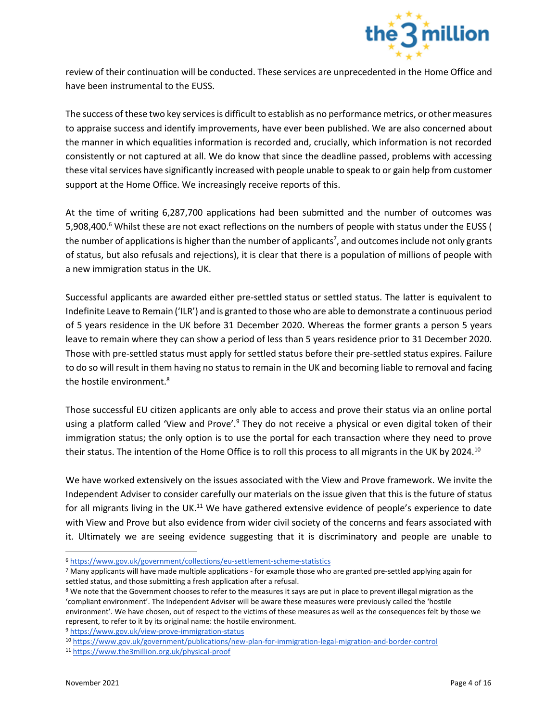

review of their continuation will be conducted. These services are unprecedented in the Home Office and have been instrumental to the EUSS.

The success of these two key services is difficult to establish as no performance metrics, or other measures to appraise success and identify improvements, have ever been published. We are also concerned about the manner in which equalities information is recorded and, crucially, which information is not recorded consistently or not captured at all. We do know that since the deadline passed, problems with accessing these vital services have significantly increased with people unable to speak to or gain help from customer support at the Home Office. We increasingly receive reports of this.

At the time of writing 6,287,700 applications had been submitted and the number of outcomes was 5,908,400.<sup>6</sup> Whilst these are not exact reflections on the numbers of people with status under the EUSS ( the number of applications is higher than the number of applicants<sup>7</sup>, and outcomes include not only grants of status, but also refusals and rejections), it is clear that there is a population of millions of people with a new immigration status in the UK.

Successful applicants are awarded either pre-settled status or settled status. The latter is equivalent to Indefinite Leave to Remain ('ILR') and is granted to those who are able to demonstrate a continuous period of 5 years residence in the UK before 31 December 2020. Whereas the former grants a person 5 years leave to remain where they can show a period of less than 5 years residence prior to 31 December 2020. Those with pre-settled status must apply for settled status before their pre-settled status expires. Failure to do so will result in them having no status to remain in the UK and becoming liable to removal and facing the hostile environment.<sup>8</sup>

Those successful EU citizen applicants are only able to access and prove their status via an online portal using a platform called 'View and Prove'.<sup>9</sup> They do not receive a physical or even digital token of their immigration status; the only option is to use the portal for each transaction where they need to prove their status. The intention of the Home Office is to roll this process to all migrants in the UK by 2024.<sup>10</sup>

We have worked extensively on the issues associated with the View and Prove framework. We invite the Independent Adviser to consider carefully our materials on the issue given that this is the future of status for all migrants living in the UK.<sup>11</sup> We have gathered extensive evidence of people's experience to date with View and Prove but also evidence from wider civil society of the concerns and fears associated with it. Ultimately we are seeing evidence suggesting that it is discriminatory and people are unable to

<sup>6</sup> <https://www.gov.uk/government/collections/eu-settlement-scheme-statistics>

<sup>7</sup> Many applicants will have made multiple applications - for example those who are granted pre-settled applying again for settled status, and those submitting a fresh application after a refusal.

<sup>&</sup>lt;sup>8</sup> We note that the Government chooses to refer to the measures it says are put in place to prevent illegal migration as the 'compliant environment'. The Independent Adviser will be aware these measures were previously called the 'hostile environment'. We have chosen, out of respect to the victims of these measures as well as the consequences felt by those we represent, to refer to it by its original name: the hostile environment.

<sup>9</sup> <https://www.gov.uk/view-prove-immigration-status>

<sup>10</sup> <https://www.gov.uk/government/publications/new-plan-for-immigration-legal-migration-and-border-control>

<sup>11</sup> <https://www.the3million.org.uk/physical-proof>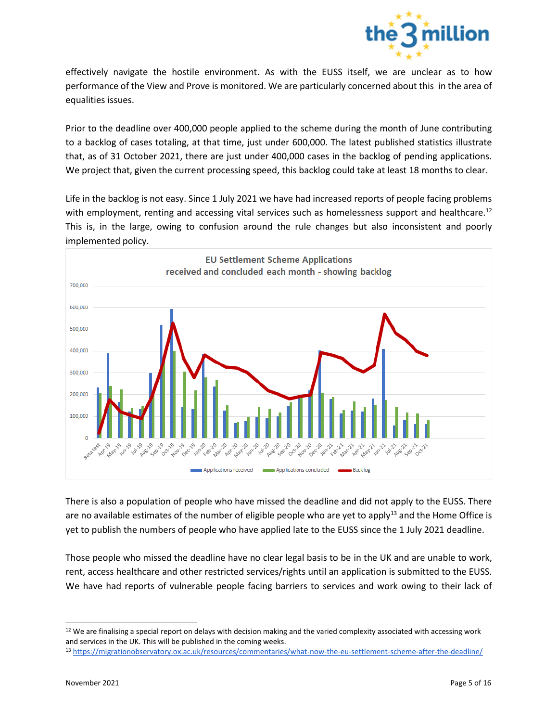

effectively navigate the hostile environment. As with the EUSS itself, we are unclear as to how performance of the View and Prove is monitored. We are particularly concerned about this in the area of equalities issues.

Prior to the deadline over 400,000 people applied to the scheme during the month of June contributing to a backlog of cases totaling, at that time, just under 600,000. The latest published statistics illustrate that, as of 31 October 2021, there are just under 400,000 cases in the backlog of pending applications. We project that, given the current processing speed, this backlog could take at least 18 months to clear.

Life in the backlog is not easy. Since 1 July 2021 we have had increased reports of people facing problems with employment, renting and accessing vital services such as homelessness support and healthcare.<sup>12</sup> This is, in the large, owing to confusion around the rule changes but also inconsistent and poorly implemented policy.



There is also a population of people who have missed the deadline and did not apply to the EUSS. There are no available estimates of the number of eligible people who are yet to apply<sup>13</sup> and the Home Office is yet to publish the numbers of people who have applied late to the EUSS since the 1 July 2021 deadline.

Those people who missed the deadline have no clear legal basis to be in the UK and are unable to work, rent, access healthcare and other restricted services/rights until an application is submitted to the EUSS. We have had reports of vulnerable people facing barriers to services and work owing to their lack of

<sup>&</sup>lt;sup>12</sup> We are finalising a special report on delays with decision making and the varied complexity associated with accessing work and services in the UK. This will be published in the coming weeks.

<sup>13</sup> <https://migrationobservatory.ox.ac.uk/resources/commentaries/what-now-the-eu-settlement-scheme-after-the-deadline/>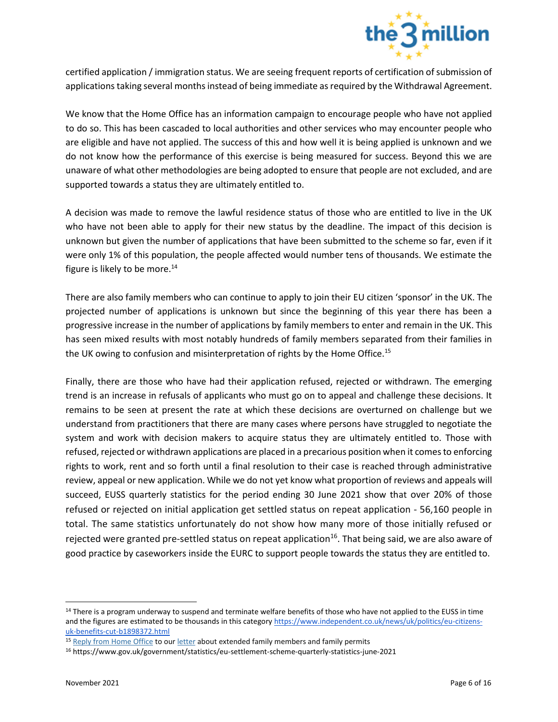

certified application / immigration status. We are seeing frequent reports of certification of submission of applications taking several months instead of being immediate as required by the Withdrawal Agreement.

We know that the Home Office has an information campaign to encourage people who have not applied to do so. This has been cascaded to local authorities and other services who may encounter people who are eligible and have not applied. The success of this and how well it is being applied is unknown and we do not know how the performance of this exercise is being measured for success. Beyond this we are unaware of what other methodologies are being adopted to ensure that people are not excluded, and are supported towards a status they are ultimately entitled to.

A decision was made to remove the lawful residence status of those who are entitled to live in the UK who have not been able to apply for their new status by the deadline. The impact of this decision is unknown but given the number of applications that have been submitted to the scheme so far, even if it were only 1% of this population, the people affected would number tens of thousands. We estimate the figure is likely to be more.<sup>14</sup>

There are also family members who can continue to apply to join their EU citizen 'sponsor' in the UK. The projected number of applications is unknown but since the beginning of this year there has been a progressive increase in the number of applications by family members to enter and remain in the UK. This has seen mixed results with most notably hundreds of family members separated from their families in the UK owing to confusion and misinterpretation of rights by the Home Office.<sup>15</sup>

Finally, there are those who have had their application refused, rejected or withdrawn. The emerging trend is an increase in refusals of applicants who must go on to appeal and challenge these decisions. It remains to be seen at present the rate at which these decisions are overturned on challenge but we understand from practitioners that there are many cases where persons have struggled to negotiate the system and work with decision makers to acquire status they are ultimately entitled to. Those with refused, rejected or withdrawn applications are placed in a precarious position when it comes to enforcing rights to work, rent and so forth until a final resolution to their case is reached through administrative review, appeal or new application. While we do not yet know what proportion of reviews and appeals will succeed, EUSS quarterly statistics for the period ending 30 June 2021 show that over 20% of those refused or rejected on initial application get settled status on repeat application - 56,160 people in total. The same statistics unfortunately do not show how many more of those initially refused or rejected were granted pre-settled status on repeat application<sup>16</sup>. That being said, we are also aware of good practice by caseworkers inside the EURC to support people towards the status they are entitled to.

<sup>&</sup>lt;sup>14</sup> There is a program underway to suspend and terminate welfare benefits of those who have not applied to the EUSS in time and the figures are estimated to be thousands in this category [https://www.independent.co.uk/news/uk/politics/eu-citizens](https://www.independent.co.uk/news/uk/politics/eu-citizens-uk-benefits-cut-b1898372.html)[uk-benefits-cut-b1898372.html](https://www.independent.co.uk/news/uk/politics/eu-citizens-uk-benefits-cut-b1898372.html)

<sup>&</sup>lt;sup>15</sup> [Reply from Home Office](https://249e1c0f-a385-4490-bfe6-875269a8d3d5.filesusr.com/ugd/cd54e3_871832319b434bb58fedd79200ec7597.pdf) to [our letter](https://249e1c0f-a385-4490-bfe6-875269a8d3d5.filesusr.com/ugd/cd54e3_c322872ca11743a6bc82c473eca14503.pdf) about extended family members and family permits

<sup>16</sup> https://www.gov.uk/government/statistics/eu-settlement-scheme-quarterly-statistics-june-2021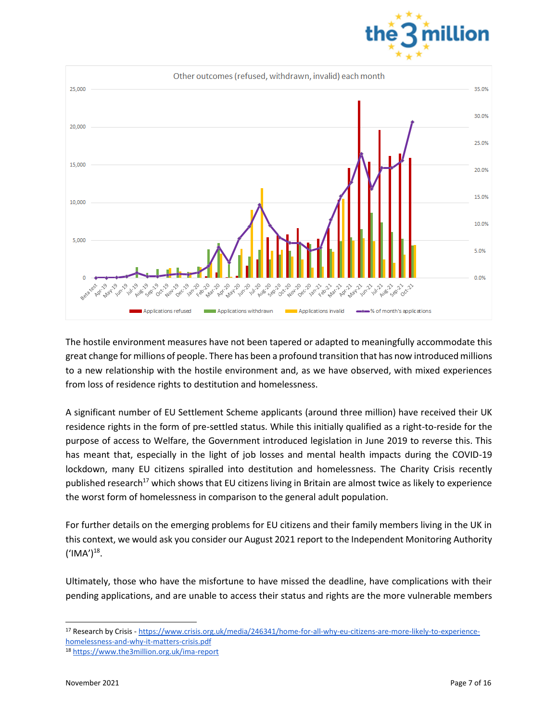



The hostile environment measures have not been tapered or adapted to meaningfully accommodate this great change for millions of people. There has been a profound transition that has now introduced millions to a new relationship with the hostile environment and, as we have observed, with mixed experiences from loss of residence rights to destitution and homelessness.

A significant number of EU Settlement Scheme applicants (around three million) have received their UK residence rights in the form of pre-settled status. While this initially qualified as a right-to-reside for the purpose of access to Welfare, the Government introduced legislation in June 2019 to reverse this. This has meant that, especially in the light of job losses and mental health impacts during the COVID-19 lockdown, many EU citizens spiralled into destitution and homelessness. The Charity Crisis recently published research<sup>17</sup> which shows that EU citizens living in Britain are almost twice as likely to experience the worst form of homelessness in comparison to the general adult population.

For further details on the emerging problems for EU citizens and their family members living in the UK in this context, we would ask you consider our August 2021 report to the Independent Monitoring Authority  $('IMA')^{18}.$ 

Ultimately, those who have the misfortune to have missed the deadline, have complications with their pending applications, and are unable to access their status and rights are the more vulnerable members

<sup>17</sup> Research by Crisis - [https://www.crisis.org.uk/media/246341/home-for-all-why-eu-citizens-are-more-likely-to-experience](https://www.crisis.org.uk/media/246341/home-for-all-why-eu-citizens-are-more-likely-to-experience-homelessness-and-why-it-matters-crisis.pdf)[homelessness-and-why-it-matters-crisis.pdf](https://www.crisis.org.uk/media/246341/home-for-all-why-eu-citizens-are-more-likely-to-experience-homelessness-and-why-it-matters-crisis.pdf)

<sup>18</sup> <https://www.the3million.org.uk/ima-report>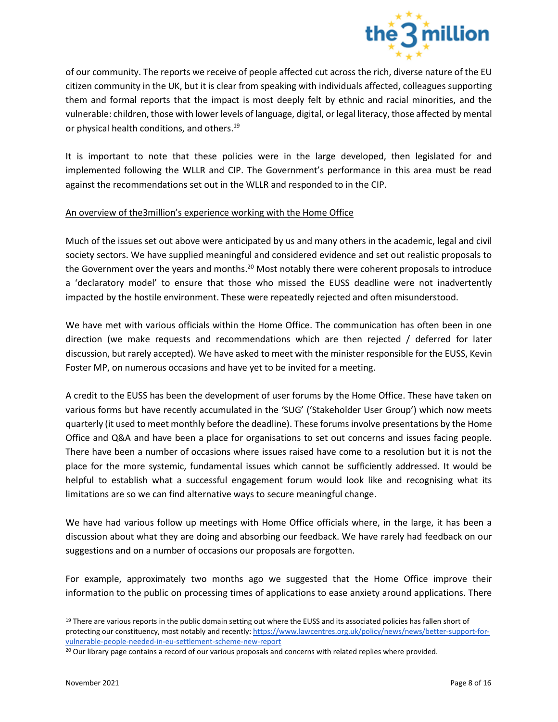

of our community. The reports we receive of people affected cut across the rich, diverse nature of the EU citizen community in the UK, but it is clear from speaking with individuals affected, colleagues supporting them and formal reports that the impact is most deeply felt by ethnic and racial minorities, and the vulnerable: children, those with lower levels of language, digital, or legal literacy, those affected by mental or physical health conditions, and others.<sup>19</sup>

It is important to note that these policies were in the large developed, then legislated for and implemented following the WLLR and CIP. The Government's performance in this area must be read against the recommendations set out in the WLLR and responded to in the CIP.

#### An overview of the3million's experience working with the Home Office

Much of the issues set out above were anticipated by us and many others in the academic, legal and civil society sectors. We have supplied meaningful and considered evidence and set out realistic proposals to the Government over the years and months.<sup>20</sup> Most notably there were coherent proposals to introduce a 'declaratory model' to ensure that those who missed the EUSS deadline were not inadvertently impacted by the hostile environment. These were repeatedly rejected and often misunderstood.

We have met with various officials within the Home Office. The communication has often been in one direction (we make requests and recommendations which are then rejected / deferred for later discussion, but rarely accepted). We have asked to meet with the minister responsible for the EUSS, Kevin Foster MP, on numerous occasions and have yet to be invited for a meeting.

A credit to the EUSS has been the development of user forums by the Home Office. These have taken on various forms but have recently accumulated in the 'SUG' ('Stakeholder User Group') which now meets quarterly (it used to meet monthly before the deadline). These forums involve presentations by the Home Office and Q&A and have been a place for organisations to set out concerns and issues facing people. There have been a number of occasions where issues raised have come to a resolution but it is not the place for the more systemic, fundamental issues which cannot be sufficiently addressed. It would be helpful to establish what a successful engagement forum would look like and recognising what its limitations are so we can find alternative ways to secure meaningful change.

We have had various follow up meetings with Home Office officials where, in the large, it has been a discussion about what they are doing and absorbing our feedback. We have rarely had feedback on our suggestions and on a number of occasions our proposals are forgotten.

For example, approximately two months ago we suggested that the Home Office improve their information to the public on processing times of applications to ease anxiety around applications. There

<sup>&</sup>lt;sup>19</sup> There are various reports in the public domain setting out where the EUSS and its associated policies has fallen short of protecting our constituency, most notably and recently: [https://www.lawcentres.org.uk/policy/news/news/better-support-for](https://www.lawcentres.org.uk/policy/news/news/better-support-for-vulnerable-people-needed-in-eu-settlement-scheme-new-report)[vulnerable-people-needed-in-eu-settlement-scheme-new-report](https://www.lawcentres.org.uk/policy/news/news/better-support-for-vulnerable-people-needed-in-eu-settlement-scheme-new-report)

<sup>&</sup>lt;sup>20</sup> Our library page contains a record of our various proposals and concerns with related replies where provided.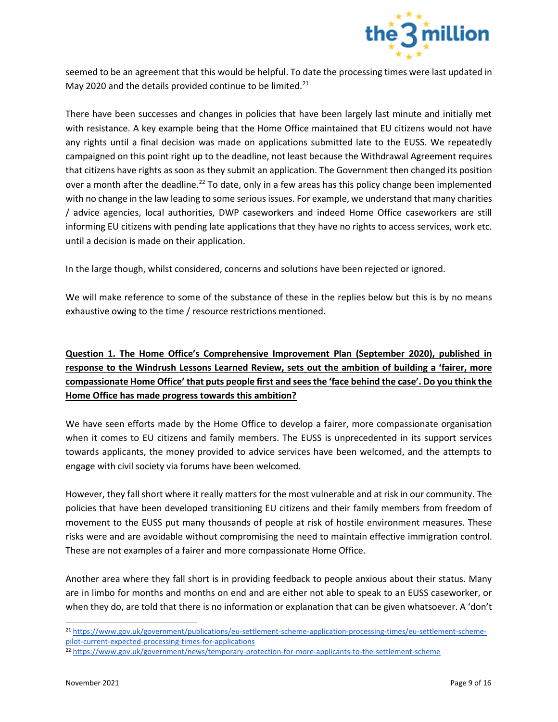

seemed to be an agreement that this would be helpful. To date the processing times were last updated in May 2020 and the details provided continue to be limited.<sup>21</sup>

There have been successes and changes in policies that have been largely last minute and initially met with resistance. A key example being that the Home Office maintained that EU citizens would not have any rights until a final decision was made on applications submitted late to the EUSS. We repeatedly campaigned on this point right up to the deadline, not least because the Withdrawal Agreement requires that citizens have rights as soon as they submit an application. The Government then changed its position over a month after the deadline.<sup>22</sup> To date, only in a few areas has this policy change been implemented with no change in the law leading to some serious issues. For example, we understand that many charities / advice agencies, local authorities, DWP caseworkers and indeed Home Office caseworkers are still informing EU citizens with pending late applications that they have no rights to access services, work etc. until a decision is made on their application.

In the large though, whilst considered, concerns and solutions have been rejected or ignored.

We will make reference to some of the substance of these in the replies below but this is by no means exhaustive owing to the time / resource restrictions mentioned.

**Question 1. The Home Office's Comprehensive Improvement Plan (September 2020), published in response to the Windrush Lessons Learned Review, sets out the ambition of building a 'fairer, more compassionate Home Office' that puts people first and sees the 'face behind the case'. Do you think the Home Office has made progress towards this ambition?**

We have seen efforts made by the Home Office to develop a fairer, more compassionate organisation when it comes to EU citizens and family members. The EUSS is unprecedented in its support services towards applicants, the money provided to advice services have been welcomed, and the attempts to engage with civil society via forums have been welcomed.

However, they fall short where it really matters for the most vulnerable and at risk in our community. The policies that have been developed transitioning EU citizens and their family members from freedom of movement to the EUSS put many thousands of people at risk of hostile environment measures. These risks were and are avoidable without compromising the need to maintain effective immigration control. These are not examples of a fairer and more compassionate Home Office.

Another area where they fall short is in providing feedback to people anxious about their status. Many are in limbo for months and months on end and are either not able to speak to an EUSS caseworker, or when they do, are told that there is no information or explanation that can be given whatsoever. A 'don't

<sup>21</sup> [https://www.gov.uk/government/publications/eu-settlement-scheme-application-processing-times/eu-settlement-scheme](https://www.gov.uk/government/publications/eu-settlement-scheme-application-processing-times/eu-settlement-scheme-pilot-current-expected-processing-times-for-applications)[pilot-current-expected-processing-times-for-applications](https://www.gov.uk/government/publications/eu-settlement-scheme-application-processing-times/eu-settlement-scheme-pilot-current-expected-processing-times-for-applications)

<sup>22</sup> <https://www.gov.uk/government/news/temporary-protection-for-more-applicants-to-the-settlement-scheme>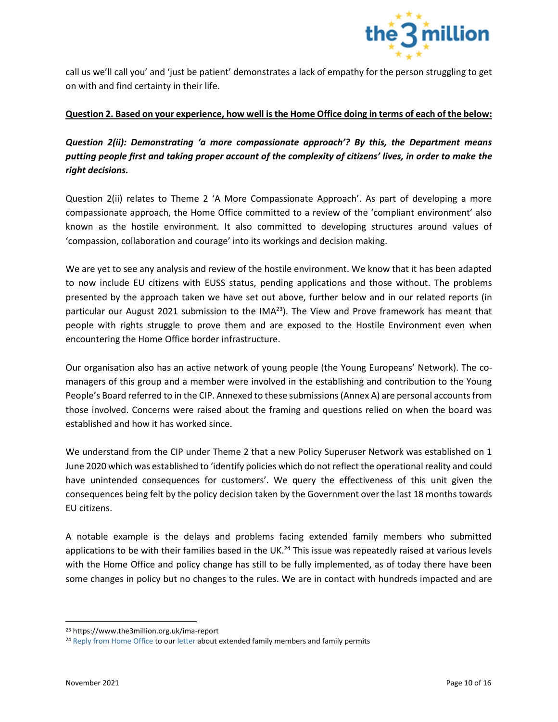

call us we'll call you' and 'just be patient' demonstrates a lack of empathy for the person struggling to get on with and find certainty in their life.

# **Question 2. Based on your experience, how well is the Home Office doing in terms of each of the below:**

*Question 2(ii): Demonstrating 'a more compassionate approach'? By this, the Department means putting people first and taking proper account of the complexity of citizens' lives, in order to make the right decisions.*

Question 2(ii) relates to Theme 2 'A More Compassionate Approach'. As part of developing a more compassionate approach, the Home Office committed to a review of the 'compliant environment' also known as the hostile environment. It also committed to developing structures around values of 'compassion, collaboration and courage' into its workings and decision making.

We are yet to see any analysis and review of the hostile environment. We know that it has been adapted to now include EU citizens with EUSS status, pending applications and those without. The problems presented by the approach taken we have set out above, further below and in our related reports (in particular our August 2021 submission to the IMA<sup>23</sup>). The View and Prove framework has meant that people with rights struggle to prove them and are exposed to the Hostile Environment even when encountering the Home Office border infrastructure.

Our organisation also has an active network of young people (the Young Europeans' Network). The comanagers of this group and a member were involved in the establishing and contribution to the Young People's Board referred to in the CIP. Annexed to these submissions (Annex A) are personal accounts from those involved. Concerns were raised about the framing and questions relied on when the board was established and how it has worked since.

We understand from the CIP under Theme 2 that a new Policy Superuser Network was established on 1 June 2020 which was established to 'identify policies which do not reflect the operational reality and could have unintended consequences for customers'. We query the effectiveness of this unit given the consequences being felt by the policy decision taken by the Government over the last 18 months towards EU citizens.

A notable example is the delays and problems facing extended family members who submitted applications to be with their families based in the UK.<sup>24</sup> This issue was repeatedly raised at various levels with the Home Office and policy change has still to be fully implemented, as of today there have been some changes in policy but no changes to the rules. We are in contact with hundreds impacted and are

<sup>23</sup> https://www.the3million.org.uk/ima-report

<sup>&</sup>lt;sup>24</sup> [Reply from Home Office](https://249e1c0f-a385-4490-bfe6-875269a8d3d5.filesusr.com/ugd/cd54e3_871832319b434bb58fedd79200ec7597.pdf) to [our letter](https://249e1c0f-a385-4490-bfe6-875269a8d3d5.filesusr.com/ugd/cd54e3_c322872ca11743a6bc82c473eca14503.pdf) about extended family members and family permits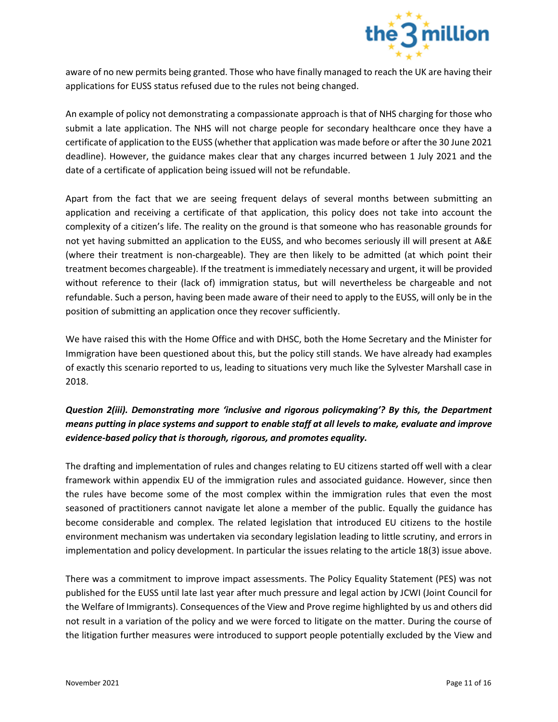

aware of no new permits being granted. Those who have finally managed to reach the UK are having their applications for EUSS status refused due to the rules not being changed.

An example of policy not demonstrating a compassionate approach is that of NHS charging for those who submit a late application. The NHS will not charge people for secondary healthcare once they have a certificate of application to the EUSS (whether that application was made before or after the 30 June 2021 deadline). However, the guidance makes clear that any charges incurred between 1 July 2021 and the date of a certificate of application being issued will not be refundable.

Apart from the fact that we are seeing frequent delays of several months between submitting an application and receiving a certificate of that application, this policy does not take into account the complexity of a citizen's life. The reality on the ground is that someone who has reasonable grounds for not yet having submitted an application to the EUSS, and who becomes seriously ill will present at A&E (where their treatment is non-chargeable). They are then likely to be admitted (at which point their treatment becomes chargeable). If the treatment is immediately necessary and urgent, it will be provided without reference to their (lack of) immigration status, but will nevertheless be chargeable and not refundable. Such a person, having been made aware of their need to apply to the EUSS, will only be in the position of submitting an application once they recover sufficiently.

We have raised this with the Home Office and with DHSC, both the Home Secretary and the Minister for Immigration have been questioned about this, but the policy still stands. We have already had examples of exactly this scenario reported to us, leading to situations very much like the Sylvester Marshall case in 2018.

# *Question 2(iii). Demonstrating more 'inclusive and rigorous policymaking'? By this, the Department means putting in place systems and support to enable staff at all levels to make, evaluate and improve evidence-based policy that is thorough, rigorous, and promotes equality.*

The drafting and implementation of rules and changes relating to EU citizens started off well with a clear framework within appendix EU of the immigration rules and associated guidance. However, since then the rules have become some of the most complex within the immigration rules that even the most seasoned of practitioners cannot navigate let alone a member of the public. Equally the guidance has become considerable and complex. The related legislation that introduced EU citizens to the hostile environment mechanism was undertaken via secondary legislation leading to little scrutiny, and errors in implementation and policy development. In particular the issues relating to the article 18(3) issue above.

There was a commitment to improve impact assessments. The Policy Equality Statement (PES) was not published for the EUSS until late last year after much pressure and legal action by JCWI (Joint Council for the Welfare of Immigrants). Consequences of the View and Prove regime highlighted by us and others did not result in a variation of the policy and we were forced to litigate on the matter. During the course of the litigation further measures were introduced to support people potentially excluded by the View and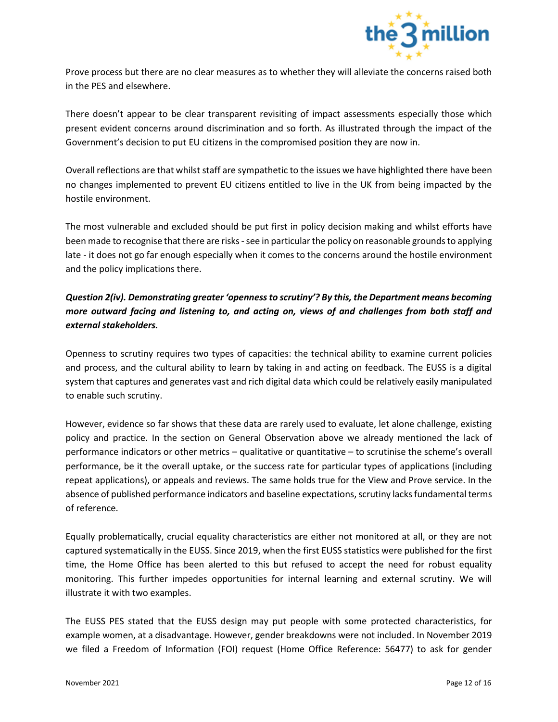

Prove process but there are no clear measures as to whether they will alleviate the concerns raised both in the PES and elsewhere.

There doesn't appear to be clear transparent revisiting of impact assessments especially those which present evident concerns around discrimination and so forth. As illustrated through the impact of the Government's decision to put EU citizens in the compromised position they are now in.

Overall reflections are that whilst staff are sympathetic to the issues we have highlighted there have been no changes implemented to prevent EU citizens entitled to live in the UK from being impacted by the hostile environment.

The most vulnerable and excluded should be put first in policy decision making and whilst efforts have been made to recognise that there are risks - see in particular the policy on reasonable grounds to applying late - it does not go far enough especially when it comes to the concerns around the hostile environment and the policy implications there.

# *Question 2(iv). Demonstrating greater 'openness to scrutiny'? By this, the Department means becoming more outward facing and listening to, and acting on, views of and challenges from both staff and external stakeholders.*

Openness to scrutiny requires two types of capacities: the technical ability to examine current policies and process, and the cultural ability to learn by taking in and acting on feedback. The EUSS is a digital system that captures and generates vast and rich digital data which could be relatively easily manipulated to enable such scrutiny.

However, evidence so far shows that these data are rarely used to evaluate, let alone challenge, existing policy and practice. In the section on General Observation above we already mentioned the lack of performance indicators or other metrics – qualitative or quantitative – to scrutinise the scheme's overall performance, be it the overall uptake, or the success rate for particular types of applications (including repeat applications), or appeals and reviews. The same holds true for the View and Prove service. In the absence of published performance indicators and baseline expectations, scrutiny lacks fundamental terms of reference.

Equally problematically, crucial equality characteristics are either not monitored at all, or they are not captured systematically in the EUSS. Since 2019, when the first EUSS statistics were published for the first time, the Home Office has been alerted to this but refused to accept the need for robust equality monitoring. This further impedes opportunities for internal learning and external scrutiny. We will illustrate it with two examples.

The EUSS PES stated that the EUSS design may put people with some protected characteristics, for example women, at a disadvantage. However, gender breakdowns were not included. In November 2019 we filed a Freedom of Information (FOI) request (Home Office Reference: 56477) to ask for gender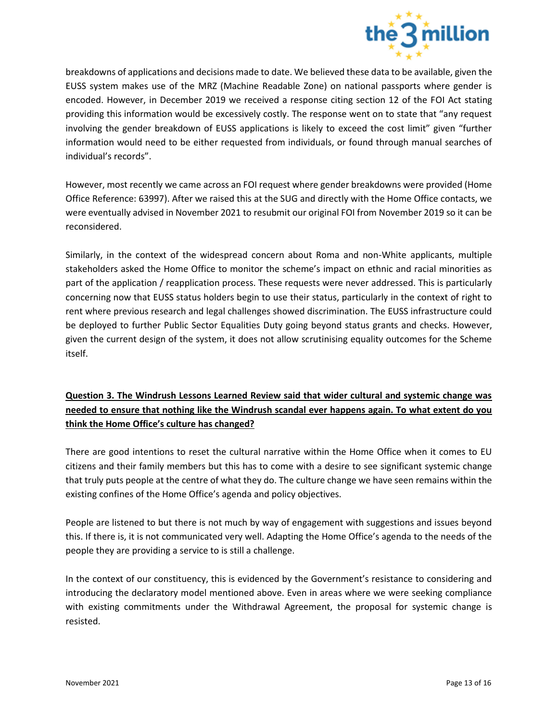

breakdowns of applications and decisions made to date. We believed these data to be available, given the EUSS system makes use of the MRZ (Machine Readable Zone) on national passports where gender is encoded. However, in December 2019 we received a response citing section 12 of the FOI Act stating providing this information would be excessively costly. The response went on to state that "any request involving the gender breakdown of EUSS applications is likely to exceed the cost limit" given "further information would need to be either requested from individuals, or found through manual searches of individual's records".

However, most recently we came across an FOI request where gender breakdowns were provided (Home Office Reference: 63997). After we raised this at the SUG and directly with the Home Office contacts, we were eventually advised in November 2021 to resubmit our original FOI from November 2019 so it can be reconsidered.

Similarly, in the context of the widespread concern about Roma and non-White applicants, multiple stakeholders asked the Home Office to monitor the scheme's impact on ethnic and racial minorities as part of the application / reapplication process. These requests were never addressed. This is particularly concerning now that EUSS status holders begin to use their status, particularly in the context of right to rent where previous research and legal challenges showed discrimination. The EUSS infrastructure could be deployed to further Public Sector Equalities Duty going beyond status grants and checks. However, given the current design of the system, it does not allow scrutinising equality outcomes for the Scheme itself.

# **Question 3. The Windrush Lessons Learned Review said that wider cultural and systemic change was needed to ensure that nothing like the Windrush scandal ever happens again. To what extent do you think the Home Office's culture has changed?**

There are good intentions to reset the cultural narrative within the Home Office when it comes to EU citizens and their family members but this has to come with a desire to see significant systemic change that truly puts people at the centre of what they do. The culture change we have seen remains within the existing confines of the Home Office's agenda and policy objectives.

People are listened to but there is not much by way of engagement with suggestions and issues beyond this. If there is, it is not communicated very well. Adapting the Home Office's agenda to the needs of the people they are providing a service to is still a challenge.

In the context of our constituency, this is evidenced by the Government's resistance to considering and introducing the declaratory model mentioned above. Even in areas where we were seeking compliance with existing commitments under the Withdrawal Agreement, the proposal for systemic change is resisted.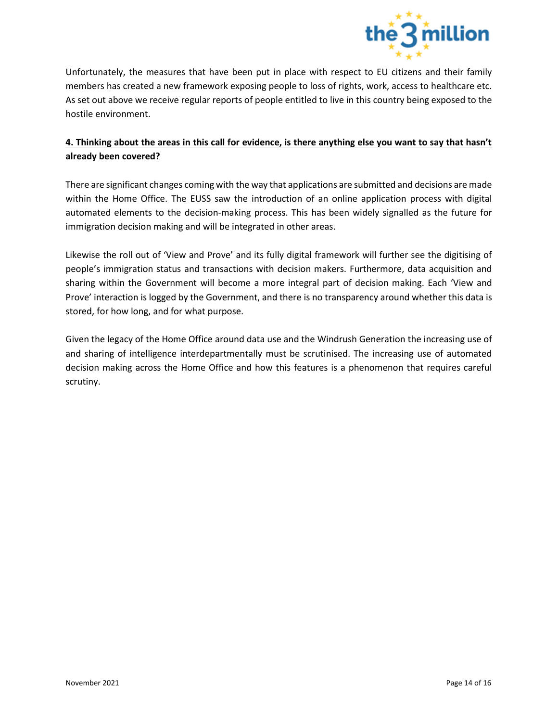

Unfortunately, the measures that have been put in place with respect to EU citizens and their family members has created a new framework exposing people to loss of rights, work, access to healthcare etc. As set out above we receive regular reports of people entitled to live in this country being exposed to the hostile environment.

# **4. Thinking about the areas in this call for evidence, is there anything else you want to say that hasn't already been covered?**

There are significant changes coming with the way that applications are submitted and decisions are made within the Home Office. The EUSS saw the introduction of an online application process with digital automated elements to the decision-making process. This has been widely signalled as the future for immigration decision making and will be integrated in other areas.

Likewise the roll out of 'View and Prove' and its fully digital framework will further see the digitising of people's immigration status and transactions with decision makers. Furthermore, data acquisition and sharing within the Government will become a more integral part of decision making. Each 'View and Prove' interaction is logged by the Government, and there is no transparency around whether this data is stored, for how long, and for what purpose.

Given the legacy of the Home Office around data use and the Windrush Generation the increasing use of and sharing of intelligence interdepartmentally must be scrutinised. The increasing use of automated decision making across the Home Office and how this features is a phenomenon that requires careful scrutiny.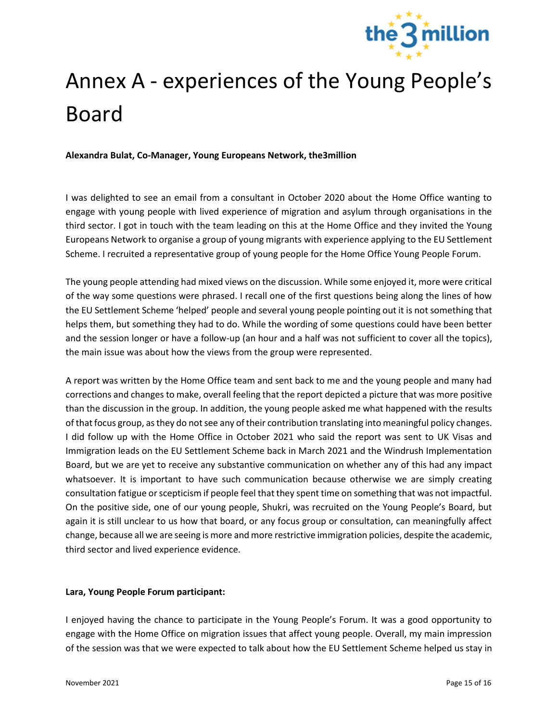

# Annex A - experiences of the Young People's Board

**Alexandra Bulat, Co-Manager, Young Europeans Network, the3million**

I was delighted to see an email from a consultant in October 2020 about the Home Office wanting to engage with young people with lived experience of migration and asylum through organisations in the third sector. I got in touch with the team leading on this at the Home Office and they invited the Young Europeans Network to organise a group of young migrants with experience applying to the EU Settlement Scheme. I recruited a representative group of young people for the Home Office Young People Forum.

The young people attending had mixed views on the discussion. While some enjoyed it, more were critical of the way some questions were phrased. I recall one of the first questions being along the lines of how the EU Settlement Scheme 'helped' people and several young people pointing out it is not something that helps them, but something they had to do. While the wording of some questions could have been better and the session longer or have a follow-up (an hour and a half was not sufficient to cover all the topics), the main issue was about how the views from the group were represented.

A report was written by the Home Office team and sent back to me and the young people and many had corrections and changes to make, overall feeling that the report depicted a picture that was more positive than the discussion in the group. In addition, the young people asked me what happened with the results of that focus group, as they do not see any of their contribution translating into meaningful policy changes. I did follow up with the Home Office in October 2021 who said the report was sent to UK Visas and Immigration leads on the EU Settlement Scheme back in March 2021 and the Windrush Implementation Board, but we are yet to receive any substantive communication on whether any of this had any impact whatsoever. It is important to have such communication because otherwise we are simply creating consultation fatigue or scepticism if people feel that they spent time on something that was not impactful. On the positive side, one of our young people, Shukri, was recruited on the Young People's Board, but again it is still unclear to us how that board, or any focus group or consultation, can meaningfully affect change, because all we are seeing is more and more restrictive immigration policies, despite the academic, third sector and lived experience evidence.

# **Lara, Young People Forum participant:**

I enjoyed having the chance to participate in the Young People's Forum. It was a good opportunity to engage with the Home Office on migration issues that affect young people. Overall, my main impression of the session was that we were expected to talk about how the EU Settlement Scheme helped us stay in